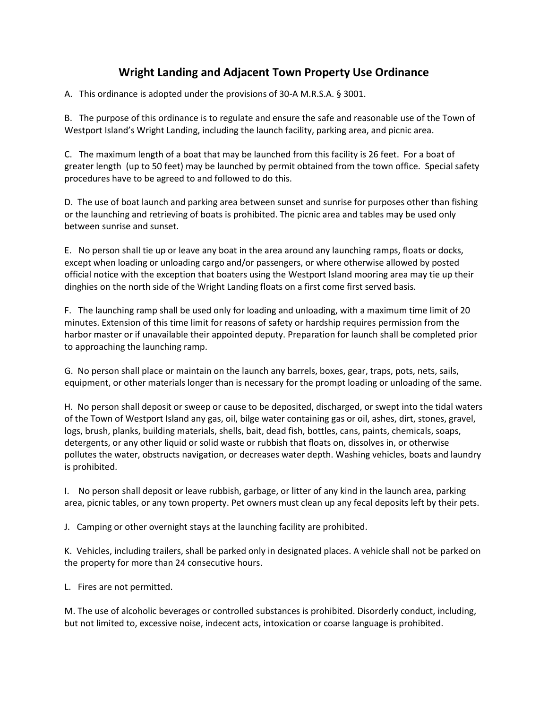## **Wright Landing and Adjacent Town Property Use Ordinance**

A. This ordinance is adopted under the provisions of 30-A M.R.S.A. § 3001.

B. The purpose of this ordinance is to regulate and ensure the safe and reasonable use of the Town of Westport Island's Wright Landing, including the launch facility, parking area, and picnic area.

C. The maximum length of a boat that may be launched from this facility is 26 feet. For a boat of greater length (up to 50 feet) may be launched by permit obtained from the town office. Special safety procedures have to be agreed to and followed to do this.

D. The use of boat launch and parking area between sunset and sunrise for purposes other than fishing or the launching and retrieving of boats is prohibited. The picnic area and tables may be used only between sunrise and sunset.

E. No person shall tie up or leave any boat in the area around any launching ramps, floats or docks, except when loading or unloading cargo and/or passengers, or where otherwise allowed by posted official notice with the exception that boaters using the Westport Island mooring area may tie up their dinghies on the north side of the Wright Landing floats on a first come first served basis.

F. The launching ramp shall be used only for loading and unloading, with a maximum time limit of 20 minutes. Extension of this time limit for reasons of safety or hardship requires permission from the harbor master or if unavailable their appointed deputy. Preparation for launch shall be completed prior to approaching the launching ramp.

G. No person shall place or maintain on the launch any barrels, boxes, gear, traps, pots, nets, sails, equipment, or other materials longer than is necessary for the prompt loading or unloading of the same.

H. No person shall deposit or sweep or cause to be deposited, discharged, or swept into the tidal waters of the Town of Westport Island any gas, oil, bilge water containing gas or oil, ashes, dirt, stones, gravel, logs, brush, planks, building materials, shells, bait, dead fish, bottles, cans, paints, chemicals, soaps, detergents, or any other liquid or solid waste or rubbish that floats on, dissolves in, or otherwise pollutes the water, obstructs navigation, or decreases water depth. Washing vehicles, boats and laundry is prohibited.

I. No person shall deposit or leave rubbish, garbage, or litter of any kind in the launch area, parking area, picnic tables, or any town property. Pet owners must clean up any fecal deposits left by their pets.

J. Camping or other overnight stays at the launching facility are prohibited.

K. Vehicles, including trailers, shall be parked only in designated places. A vehicle shall not be parked on the property for more than 24 consecutive hours.

L. Fires are not permitted.

M. The use of alcoholic beverages or controlled substances is prohibited. Disorderly conduct, including, but not limited to, excessive noise, indecent acts, intoxication or coarse language is prohibited.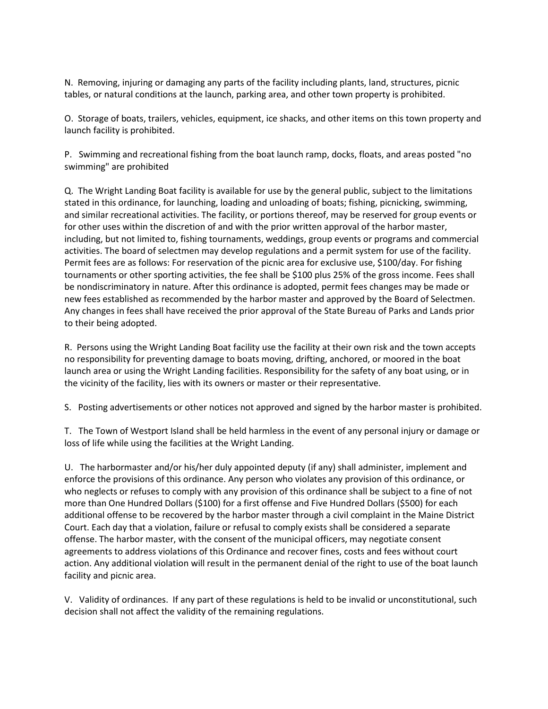N. Removing, injuring or damaging any parts of the facility including plants, land, structures, picnic tables, or natural conditions at the launch, parking area, and other town property is prohibited.

O. Storage of boats, trailers, vehicles, equipment, ice shacks, and other items on this town property and launch facility is prohibited.

P. Swimming and recreational fishing from the boat launch ramp, docks, floats, and areas posted "no swimming" are prohibited

Q. The Wright Landing Boat facility is available for use by the general public, subject to the limitations stated in this ordinance, for launching, loading and unloading of boats; fishing, picnicking, swimming, and similar recreational activities. The facility, or portions thereof, may be reserved for group events or for other uses within the discretion of and with the prior written approval of the harbor master, including, but not limited to, fishing tournaments, weddings, group events or programs and commercial activities. The board of selectmen may develop regulations and a permit system for use of the facility. Permit fees are as follows: For reservation of the picnic area for exclusive use, \$100/day. For fishing tournaments or other sporting activities, the fee shall be \$100 plus 25% of the gross income. Fees shall be nondiscriminatory in nature. After this ordinance is adopted, permit fees changes may be made or new fees established as recommended by the harbor master and approved by the Board of Selectmen. Any changes in fees shall have received the prior approval of the State Bureau of Parks and Lands prior to their being adopted.

R. Persons using the Wright Landing Boat facility use the facility at their own risk and the town accepts no responsibility for preventing damage to boats moving, drifting, anchored, or moored in the boat launch area or using the Wright Landing facilities. Responsibility for the safety of any boat using, or in the vicinity of the facility, lies with its owners or master or their representative.

S. Posting advertisements or other notices not approved and signed by the harbor master is prohibited.

T. The Town of Westport Island shall be held harmless in the event of any personal injury or damage or loss of life while using the facilities at the Wright Landing.

U. The harbormaster and/or his/her duly appointed deputy (if any) shall administer, implement and enforce the provisions of this ordinance. Any person who violates any provision of this ordinance, or who neglects or refuses to comply with any provision of this ordinance shall be subject to a fine of not more than One Hundred Dollars (\$100) for a first offense and Five Hundred Dollars (\$500) for each additional offense to be recovered by the harbor master through a civil complaint in the Maine District Court. Each day that a violation, failure or refusal to comply exists shall be considered a separate offense. The harbor master, with the consent of the municipal officers, may negotiate consent agreements to address violations of this Ordinance and recover fines, costs and fees without court action. Any additional violation will result in the permanent denial of the right to use of the boat launch facility and picnic area.

V. Validity of ordinances. If any part of these regulations is held to be invalid or unconstitutional, such decision shall not affect the validity of the remaining regulations.